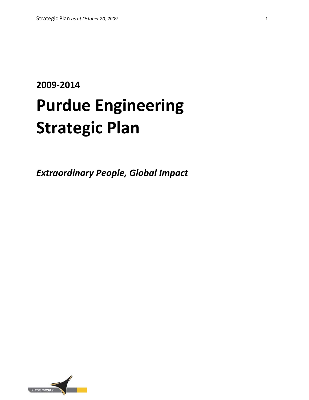# **2009-2014 Purdue Engineering Strategic Plan**

*Extraordinary People, Global Impact*

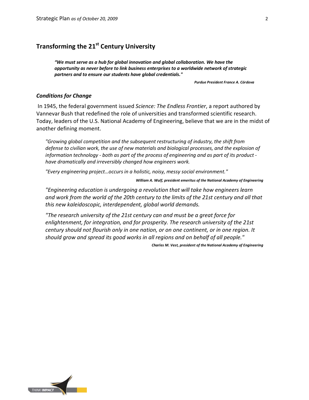# **Transforming the 21st Century University**

*"We must serve as a hub for global innovation and global collaboration. We have the opportunity as never before to link business enterprises to a worldwide network of strategic partners and to ensure our students have global credentials."* 

*Purdue President France A. Córdova*

#### *Conditions for Change*

In 1945, the federal government issued *Science: The Endless Frontier*, a report authored by Vannevar Bush that redefined the role of universities and transformed scientific research. Today, leaders of the U.S. National Academy of Engineering, believe that we are in the midst of another defining moment.

*"Growing global competition and the subsequent restructuring of industry, the shift from defense to civilian work, the use of new materials and biological processes, and the explosion of information technology - both as part of the process of engineering and as part of its product have dramatically and irreversibly changed how engineers work.*

*"Every engineering project…occurs in a holistic, noisy, messy social environment."* 

*William A. Wulf, president emeritus of the National Academy of Engineering*

*"Engineering education is undergoing a revolution that will take how engineers learn and work from the world of the 20th century to the limits of the 21st century and all that this new kaleidoscopic, interdependent, global world demands.* 

*"The research university of the 21st century can and must be a great force for enlightenment, for integration, and for prosperity. The research university of the 21st century should not flourish only in one nation, or on one continent, or in one region. It should grow and spread its good works in all regions and on behalf of all people."* 

*Charles M. Vest, president of the National Academy of Engineering* 

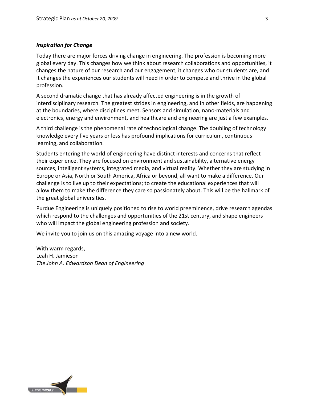#### *Inspiration for Change*

Today there are major forces driving change in engineering. The profession is becoming more global every day. This changes how we think about research collaborations and opportunities, it changes the nature of our research and our engagement, it changes who our students are, and it changes the experiences our students will need in order to compete and thrive in the global profession.

A second dramatic change that has already affected engineering is in the growth of interdisciplinary research. The greatest strides in engineering, and in other fields, are happening at the boundaries, where disciplines meet. Sensors and simulation, nano-materials and electronics, energy and environment, and healthcare and engineering are just a few examples.

A third challenge is the phenomenal rate of technological change. The doubling of technology knowledge every five years or less has profound implications for curriculum, continuous learning, and collaboration.

Students entering the world of engineering have distinct interests and concerns that reflect their experience. They are focused on environment and sustainability, alternative energy sources, intelligent systems, integrated media, and virtual reality. Whether they are studying in Europe or Asia, North or South America, Africa or beyond, all want to make a difference. Our challenge is to live up to their expectations; to create the educational experiences that will allow them to make the difference they care so passionately about. This will be the hallmark of the great global universities.

Purdue Engineering is uniquely positioned to rise to world preeminence, drive research agendas which respond to the challenges and opportunities of the 21st century, and shape engineers who will impact the global engineering profession and society.

We invite you to join us on this amazing voyage into a new world.

With warm regards, Leah H. Jamieson *The John A. Edwardson Dean of Engineering*

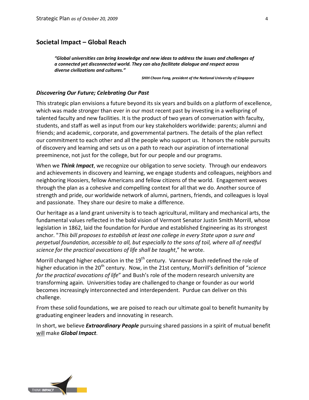# **Societal Impact – Global Reach**

*"Global universities can bring knowledge and new ideas to address the issues and challenges of a connected yet disconnected world. They can also facilitate dialogue and respect across diverse civilizations and cultures."* 

*SHIH Choon Fong, president of the National University of Singapore*

#### *Discovering Our Future; Celebrating Our Past*

This strategic plan envisions a future beyond its six years and builds on a platform of excellence, which was made stronger than ever in our most recent past by investing in a wellspring of talented faculty and new facilities. It is the product of two years of conversation with faculty, students, and staff as well as input from our key stakeholders worldwide: parents; alumni and friends; and academic, corporate, and governmental partners. The details of the plan reflect our commitment to each other and all the people who support us. It honors the noble pursuits of discovery and learning and sets us on a path to reach our aspiration of international preeminence, not just for the college, but for our people and our programs.

When we *Think Impact*, we recognize our obligation to serve society. Through our endeavors and achievements in discovery and learning, we engage students and colleagues, neighbors and neighboring Hoosiers, fellow Americans and fellow citizens of the world. Engagement weaves through the plan as a cohesive and compelling context for all that we do. Another source of strength and pride, our worldwide network of alumni, partners, friends, and colleagues is loyal and passionate. They share our desire to make a difference.

Our heritage as a land grant university is to teach agricultural, military and mechanical arts, the fundamental values reflected in the bold vision of Vermont Senator Justin Smith Morrill, whose legislation in 1862, laid the foundation for Purdue and established Engineering as its strongest anchor. "*This bill proposes to establish at least one college in every State upon a sure and perpetual foundation, accessible to all, but especially to the sons of toil, where all of needful science for the practical avocations of life shall be taught*," he wrote.

Morrill changed higher education in the  $19<sup>th</sup>$  century. Vannevar Bush redefined the role of higher education in the 20<sup>th</sup> century. Now, in the 21st century, Morrill's definition of "*science for the practical avocations of life*" and Bush's role of the modern research university are transforming again. Universities today are challenged to change or founder as our world becomes increasingly interconnected and interdependent. Purdue can deliver on this challenge.

From these solid foundations, we are poised to reach our ultimate goal to benefit humanity by graduating engineer leaders and innovating in research.

In short, we believe *Extraordinary People* pursuing shared passions in a spirit of mutual benefit will make *Global Impact*.

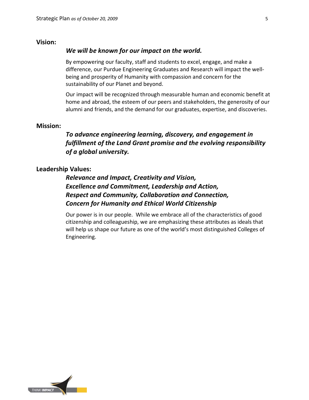#### **Vision:**

#### *We will be known for our impact on the world.*

By empowering our faculty, staff and students to excel, engage, and make a difference, our Purdue Engineering Graduates and Research will impact the wellbeing and prosperity of Humanity with compassion and concern for the sustainability of our Planet and beyond.

Our impact will be recognized through measurable human and economic benefit at home and abroad, the esteem of our peers and stakeholders, the generosity of our alumni and friends, and the demand for our graduates, expertise, and discoveries.

#### **Mission:**

# *To advance engineering learning, discovery, and engagement in fulfillment of the Land Grant promise and the evolving responsibility of a global university.*

#### **Leadership Values:**

*Relevance and Impact, Creativity and Vision, Excellence and Commitment, Leadership and Action, Respect and Community, Collaboration and Connection, Concern for Humanity and Ethical World Citizenship*

Our power is in our people. While we embrace all of the characteristics of good citizenship and colleagueship, we are emphasizing these attributes as ideals that will help us shape our future as one of the world's most distinguished Colleges of Engineering.

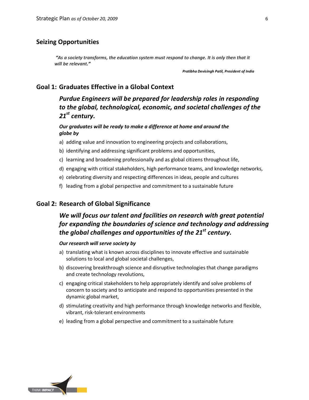# **Seizing Opportunities**

*"As a society transforms, the education system must respond to change. It is only then that it will be relevant."*

*Pratibha Devisingh Patil, President of India*

# **Goal 1: Graduates Effective in a Global Context**

*Purdue Engineers will be prepared for leadership roles in responding to the global, technological, economic, and societal challenges of the 21st century.*

*Our graduates will be ready to make a difference at home and around the globe by* 

- a) adding value and innovation to engineering projects and collaborations,
- b) identifying and addressing significant problems and opportunities,
- c) learning and broadening professionally and as global citizens throughout life,
- d) engaging with critical stakeholders, high performance teams, and knowledge networks,
- e) celebrating diversity and respecting differences in ideas, people and cultures
- f) leading from a global perspective and commitment to a sustainable future

## **Goal 2: Research of Global Significance**

# *We will focus our talent and facilities on research with great potential for expanding the boundaries of science and technology and addressing the global challenges and opportunities of the 21st century.*

#### *Our research will serve society by*

- a) translating what is known across disciplines to innovate effective and sustainable solutions to local and global societal challenges,
- b) discovering breakthrough science and disruptive technologies that change paradigms and create technology revolutions,
- c) engaging critical stakeholders to help appropriately identify and solve problems of concern to society and to anticipate and respond to opportunities presented in the dynamic global market,
- d) stimulating creativity and high performance through knowledge networks and flexible, vibrant, risk-tolerant environments
- e) leading from a global perspective and commitment to a sustainable future

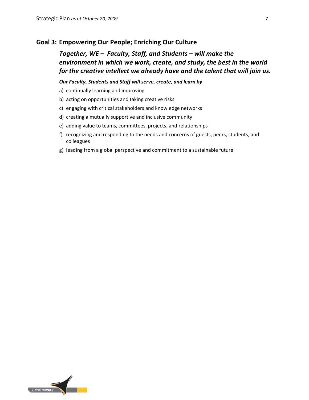# **Goal 3: Empowering Our People; Enriching Our Culture**

# *Together, WE – Faculty, Staff, and Students – will make the environment in which we work, create, and study, the best in the world for the creative intellect we already have and the talent that will join us.*

*Our Faculty, Students and Staff will serve, create, and learn by* 

- a) continually learning and improving
- b) acting on opportunities and taking creative risks
- c) engaging with critical stakeholders and knowledge networks
- d) creating a mutually supportive and inclusive community
- e) adding value to teams, committees, projects, and relationships
- f) recognizing and responding to the needs and concerns of guests, peers, students, and colleagues
- g) leading from a global perspective and commitment to a sustainable future

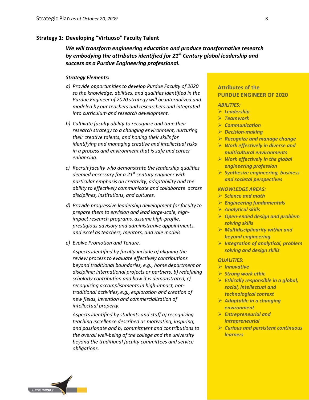#### **Strategy 1: Developing "Virtuoso" Faculty Talent**

*We will transform engineering education and produce transformative research by embodying the attributes identified for 21st Century global leadership and success as a Purdue Engineering professional.*

#### *Strategy Elements:*

- *a) Provide opportunities to develop Purdue Faculty of 2020 so the knowledge, abilities, and qualities identified in the Purdue Engineer of 2020 strategy will be internalized and modeled by our teachers and researchers and integrated into curriculum and research development.*
- *b) Cultivate faculty ability to recognize and tune their research strategy to a changing environment, nurturing their creative talents, and honing their skills for identifying and managing creative and intellectual risks in a process and environment that is safe and career enhancing.*
- *c) Recruit faculty who demonstrate the leadership qualities deemed necessary for a 21st century engineer with particular emphasis on creativity, adaptability and the ability to effectively communicate and collaborate across disciplines, institutions, and cultures.*
- *d) Provide progressive leadership development for faculty to prepare them to envision and lead large-scale, highimpact research programs, assume high-profile, prestigious advisory and administrative appointments, and excel as teachers, mentors, and role models.*
- *e) Evolve Promotion and Tenure.*

*Aspects identified by faculty include a) aligning the review process to evaluate effectively contributions beyond traditional boundaries, e.g., home department or discipline; international projects or partners, b) redefining scholarly contribution and how it is demonstrated, c) recognizing accomplishments in high-impact, nontraditional activities, e.g., exploration and creation of new fields, invention and commercialization of intellectual property.* 

*Aspects identified by students and staff a) recognizing teaching excellence described as motivating, inspiring, and passionate and b) commitment and contributions to the overall well-being of the college and the university beyond the traditional faculty committees and service obligations.*

# **Attributes of the PURDUE ENGINEER OF 2020**

#### *ABILITIES:*

- *Leadership*
- *Teamwork*
- *Communication*
- *Decision-making*
- *Recognize and manage change Work effectively in diverse and multicultural environments*
- *Work effectively in the global engineering profession*
- *Synthesize engineering, business and societal perspectives*

#### *KNOWLEDGE AREAS:*

- *Science and math*
- *Engineering fundamentals*
- *Analytical skills*
- *Open-ended design and problem solving skills*
- *Multidisciplinarity within and beyond engineering*
- *Integration of analytical, problem solving and design skills*

#### *QUALITIES:*

- *Innovative*
- *Strong work ethic*
- *Ethically responsible in a global, social, intellectual and technological context*
- *Adaptable in a changing environment*
- *Entrepreneurial and intrapreneurial*
- *Curious and persistent continuous learners*

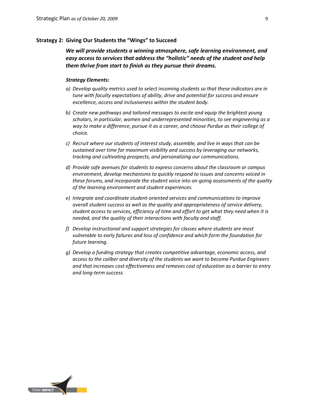#### **Strategy 2: Giving Our Students the "Wings" to Succeed**

*We will provide students a winning atmosphere, safe learning environment, and easy access to services that address the "holistic" needs of the student and help them thrive from start to finish as they pursue their dreams.* 

- *a) Develop quality metrics used to select incoming students so that these indicators are in tune with faculty expectations of ability, drive and potential for success and ensure excellence, access and inclusiveness within the student body.*
- *b) Create new pathways and tailored messages to excite and equip the brightest young scholars, in particular, women and underrepresented minorities, to see engineering as a way to make a difference, pursue it as a career, and choose Purdue as their college of choice.*
- *c) Recruit where our students of interest study, assemble, and live in ways that can be sustained over time for maximum visibility and success by leveraging our networks, tracking and cultivating prospects, and personalizing our communications.*
- *d) Provide safe avenues for students to express concerns about the classroom or campus environment, develop mechanisms to quickly respond to issues and concerns voiced in these forums, and incorporate the student voice into on-going assessments of the quality of the learning environment and student experiences.*
- *e) Integrate and coordinate student-oriented services and communications to improve overall student success as well as the quality and appropriateness of service delivery, student access to services, efficiency of time and effort to get what they need when it is needed, and the quality of their interactions with faculty and staff.*
- *f) Develop instructional and support strategies for classes where students are most vulnerable to early failures and loss of confidence and which form the foundation for future learning.*
- *g) Develop a funding strategy that creates competitive advantage, economic access, and access to the caliber and diversity of the students we want to become Purdue Engineers and that increases cost effectiveness and removes cost of education as a barrier to entry and long-term success.*

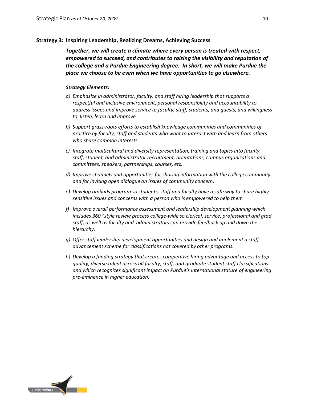#### **Strategy 3: Inspiring Leadership, Realizing Dreams, Achieving Success**

*Together, we will create a climate where every person is treated with respect, empowered to succeed, and contributes to raising the visibility and reputation of the college and a Purdue Engineering degree. In short, we will make Purdue the place we choose to be even when we have opportunities to go elsewhere.*

- *a) Emphasize in administrator, faculty, and staff hiring leadership that supports a respectful and inclusive environment, personal responsibility and accountability to address issues and improve service to faculty, staff, students, and guests, and willingness to listen, learn and improve.*
- *b) Support grass-roots efforts to establish knowledge communities and communities of practice by faculty, staff and students who want to interact with and learn from others who share common interests.*
- *c) Integrate multicultural and diversity representation, training and topics into faculty, staff, student, and administrator recruitment, orientations, campus organizations and committees, speakers, partnerships, courses, etc.*
- *d) Improve channels and opportunities for sharing information with the college community and for inviting open dialogue on issues of community concern.*
- *e) Develop ombuds program so students, staff and faculty have a safe way to share highly sensitive issues and concerns with a person who is empowered to help them*
- *f) Improve overall performance assessment and leadership development planning which includes 360*° *style review process college-wide so clerical, service, professional and grad staff, as well as faculty and administrators can provide feedback up and down the hierarchy.*
- *g) Offer staff leadership development opportunities and design and implement a staff advancement scheme for classifications not covered by other programs.*
- *h) Develop a funding strategy that creates competitive hiring advantage and access to top quality, diverse talent across all faculty, staff, and graduate student staff classifications and which recognizes significant impact on Purdue's international stature of engineering pre-eminence in higher education.*

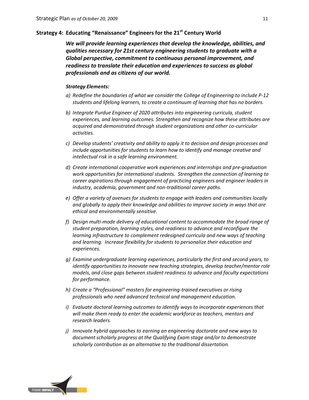## **Strategy 4: Educating "Renaissance" Engineers for the 21st Century World**

*We will provide learning experiences that develop the knowledge, abilities, and qualities necessary for 21st century engineering students to graduate with a Global perspective, commitment to continuous personal improvement, and readiness to translate their education and experiences to success as global professionals and as citizens of our world.*

- *a) Redefine the boundaries of what we consider the College of Engineering to include P-12 students and lifelong learners, to create a continuum of learning that has no borders.*
- *b) Integrate Purdue Engineer of 2020 attributes into engineering curricula, student experiences, and learning outcomes. Strengthen and recognize how these attributes are acquired and demonstrated through student organizations and other co-curricular activities.*
- *c) Develop students' creativity and ability to apply it to decision and design processes and include opportunities for students to learn how to identify and manage creative and intellectual risk in a safe learning environment.*
- *d) Create international cooperative work experiences and internships and pre-graduation work opportunities for international students. Strengthen the connection of learning to career aspirations through engagement of practicing engineers and engineer leaders in industry, academia, government and non-traditional career paths.*
- *e) Offer a variety of avenues for students to engage with leaders and communities locally and globally to apply their knowledge and abilities to improve society in ways that are ethical and environmentally sensitive.*
- *f) Design multi-mode delivery of educational content to accommodate the broad range of student preparation, learning styles, and readiness to advance and reconfigure the learning infrastructure to complement redesigned curricula and new ways of teaching and learning. Increase flexibility for students to personalize their education and experiences.*
- *g) Examine undergraduate learning experiences, particularly the first and second years, to identify opportunities to innovate new teaching strategies, develop teacher/mentor role models, and close gaps between student readiness to advance and faculty expectations for performance.*
- *h) Create a "Professional" masters for engineering-trained executives or rising professionals who need advanced technical and management education.*
- *i) Evaluate doctoral learning outcomes to identify ways to incorporate experiences that will make them ready to enter the academic workforce as teachers, mentors and research leaders.*
- *j) Innovate hybrid approaches to earning an engineering doctorate and new ways to document scholarly progress at the Qualifying Exam stage and/or to demonstrate scholarly contribution as an alternative to the traditional dissertation.*

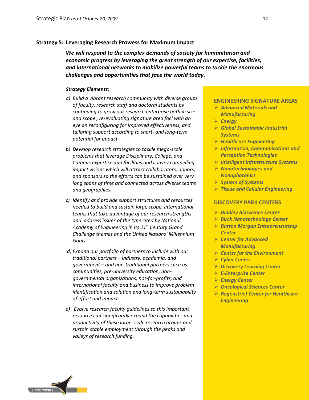#### **Strategy 5: Leveraging Research Prowess for Maximum Impact**

*We will respond to the complex demands of society for humanitarian and economic progress by leveraging the great strength of our expertise, facilities, and international networks to mobilize powerful teams to tackle the enormous challenges and opportunities that face the world today.*

#### *Strategy Elements:*

- *a) Build a vibrant research community with diverse groups of faculty, research staff and doctoral students by continuing to grow our research enterprise both in size and scope , re-evaluating signature area foci with an eye on reconfiguring for improved effectiveness, and tailoring support according to short- and long-term potential for impact.*
- *b) Develop research strategies to tackle mega-scale problems that leverage Disciplinary, College, and Campus expertise and facilities and convey compelling impact visions which will attract collaborators, donors, and sponsors so the efforts can be sustained over very long spans of time and connected across diverse teams and geographies.*
- *c) Identify and provide support structures and resources needed to build and sustain large scope, international teams that take advantage of our research strengths and address issues of the type cited by National Academy of Engineering in its 21st Century Grand Challenge themes and the United Nations' Millennium Goals.*
- *d) Expand our portfolio of partners to include with our traditional partners – industry, academia, and government – and non-traditional partners such as communities, pre-university education, nongovernmental organizations, not-for-profits, and international faculty and business to improve problem identification and solution and long-term sustainability of effort and impact.*
- *e) Evolve research faculty guidelines so this important resource can significantly expand the capabilities and productivity of these large-scale research groups and sustain stable employment through the peaks and valleys of research funding.*

#### **ENGINEERING SIGNATURE AREAS**

- *Advanced Materials and Manufacturing*
- *Energy*
- *Global Sustainable Industrial Systems*
- *Healthcare Engineering*
- *Information, Communications and Perception Technologies*
- *Intelligent Infrastructure Systems*
- *Nanotechnologies and Nanophotonics*
- *System of Systems*
- *Tissue and Cellular Engineering*

#### **DISCOVERY PARK CENTERS**

- *Bindley Bioscience Center*
- *Birck Nanotechnology Center*
- *Burton Morgan Entrepreneurship Center*
- *Center for Advanced Manufacturing*
- *Center for the Environment*
- *Cyber Center*
- *Discovery Learning Center*
- *E-Enterprise Center*
- *Energy Center*
- *Oncological Sciences Center*
- *Regenstrief Center for Healthcare Engineering*

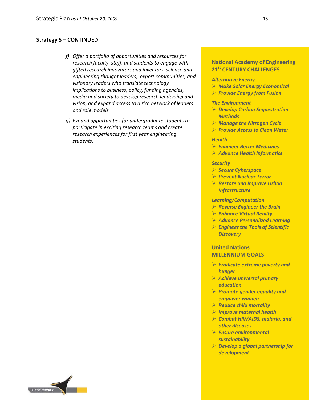#### **Strategy 5 – CONTINUED**

- *f) Offer a portfolio of opportunities and resources for research faculty, staff, and students to engage with gifted research innovators and inventors, science and engineering thought leaders, expert communities, and visionary leaders who translate technology implications to business, policy, funding agencies, media and society to develop research leadership and vision, and expand access to a rich network of leaders and role models.*
- *g) Expand opportunities for undergraduate students to participate in exciting research teams and create research experiences for first year engineering students.*

# **National Academy of Engineering 21st CENTURY CHALLENGES**

#### *Alternative Energy*

- *Make Solar Energy Economical*
- *Provide Energy from Fusion*

#### *The Environment*

- *Develop Carbon Sequestration Methods*
- *Manage the Nitrogen Cycle*
- *Provide Access to Clean Water*

#### *Health*

- *Engineer Better Medicines*
- *Advance Health Informatics*

#### *Security*

- *Secure Cyberspace*
- *Prevent Nuclear Terror*
- *Restore and Improve Urban Infrastructure*

#### *Learning/Computation*

- *Reverse Engineer the Brain*
- *Enhance Virtual Reality*
- *Advance Personalized Learning*
- *Engineer the Tools of Scientific Discovery*

#### **United Nations MILLENNIUM GOALS**

- *Eradicate extreme poverty and hunger*
- *Achieve universal primary education*
- *Promote gender equality and empower women*
- *Reduce child mortality*
- *Improve maternal health*
- *Combat HIV/AIDS, malaria, and other diseases*
- *Ensure environmental sustainability*
- *Develop a global partnership for development*

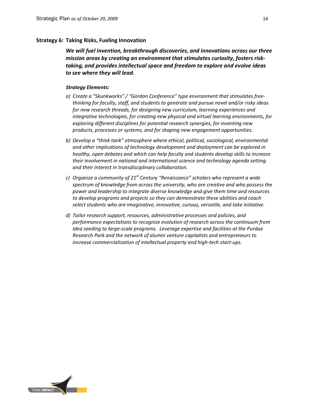#### **Strategy 6: Taking Risks, Fueling Innovation**

*We will fuel invention, breakthrough discoveries, and innovations across our three mission areas by creating an environment that stimulates curiosity, fosters risktaking, and provides intellectual space and freedom to explore and evolve ideas to see where they will lead.* 

- *a) Create a "Skunkworks" / "Gordon Conference" type environment that stimulates freethinking for faculty, staff, and students to generate and pursue novel and/or risky ideas for new research threads, for designing new curriculum, learning experiences and integrative technologies, for creating new physical and virtual learning environments, for exploring different disciplines for potential research synergies, for inventing new products, processes or systems, and for shaping new engagement opportunities.*
- *b) Develop a "think tank" atmosphere where ethical, political, sociological, environmental and other implications of technology development and deployment can be explored in healthy, open debates and which can help faculty and students develop skills to increase their involvement in national and international science and technology agenda setting and their interest in transdisciplinary collaboration.*
- *c) Organize a community of 21st Century "Renaissance" scholars who represent a wide spectrum of knowledge from across the university, who are creative and who possess the power and leadership to integrate diverse knowledge and give them time and resources to develop programs and projects so they can demonstrate these abilities and coach select students who are imaginative, innovative, curious, versatile, and take initiative.*
- *d) Tailor research support, resources, administrative processes and policies, and performance expectations to recognize evolution of research across the continuum from idea seeding to large-scale programs. Leverage expertise and facilities at the Purdue Research Park and the network of alumni venture capitalists and entrepreneurs to increase commercialization of intellectual property and high-tech start-ups.*

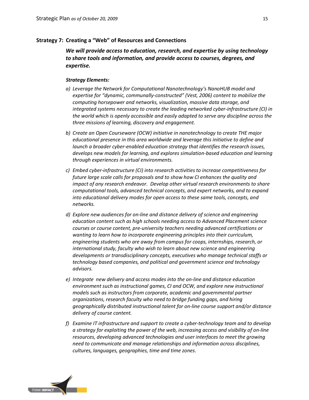#### **Strategy 7: Creating a "Web" of Resources and Connections**

*We will provide access to education, research, and expertise by using technology to share tools and information, and provide access to courses, degrees, and expertise.*

- *a) Leverage the Network for Computational Nanotechnology's NanoHUB model and expertise for "dynamic, communally-constructed" (Vest, 2006) content to mobilize the computing horsepower and networks, visualization, massive data storage, and integrated systems necessary to create the leading networked cyber-infrastructure (CI) in the world which is openly accessible and easily adapted to serve any discipline across the three missions of learning, discovery and engagement.*
- *b) Create an Open Courseware (OCW) initiative in nanotechnology to create THE major educational presence in this area worldwide and leverage this initiative to define and launch a broader cyber-enabled education strategy that identifies the research issues, develops new models for learning, and explores simulation-based education and learning through experiences in virtual environments.*
- *c) Embed cyber-infrastructure (CI) into research activities to increase competitiveness for future large scale calls for proposals and to show how CI enhances the quality and impact of any research endeavor. Develop other virtual research environments to share computational tools, advanced technical concepts, and expert networks, and to expand into educational delivery modes for open access to these same tools, concepts, and networks.*
- *d) Explore new audiences for on-line and distance delivery of science and engineering education content such as high schools needing access to Advanced Placement science courses or course content, pre-university teachers needing advanced certifications or wanting to learn how to incorporate engineering principles into their curriculum, engineering students who are away from campus for coops, internships, research, or international study, faculty who wish to learn about new science and engineering developments or transdisciplinary concepts, executives who manage technical staffs or technology based companies, and political and government science and technology advisors.*
- *e) Integrate new delivery and access modes into the on-line and distance education environment such as instructional games, CI and OCW, and explore new instructional models such as instructors from corporate, academic and governmental partner organizations, research faculty who need to bridge funding gaps, and hiring geographically distributed instructional talent for on-line course support and/or distance delivery of course content.*
- *f) Examine IT infrastructure and support to create a cyber-technology team and to develop a strategy for exploiting the power of the web, increasing access and visibility of on-line resources, developing advanced technologies and user interfaces to meet the growing need to communicate and manage relationships and information across disciplines, cultures, languages, geographies, time and time zones.*

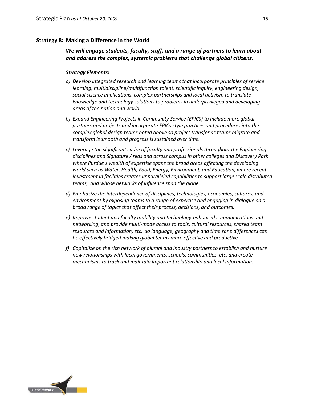#### **Strategy 8: Making a Difference in the World**

## *We will engage students, faculty, staff, and a range of partners to learn about and address the complex, systemic problems that challenge global citizens.*

- *a) Develop integrated research and learning teams that incorporate principles of service learning, multidiscipline/multifunction talent, scientific inquiry, engineering design, social science implications, complex partnerships and local activism to translate knowledge and technology solutions to problems in underprivileged and developing areas of the nation and world.*
- *b) Expand Engineering Projects in Community Service (EPICS) to include more global partners and projects and incorporate EPICs style practices and procedures into the complex global design teams noted above so project transfer as teams migrate and transform is smooth and progress is sustained over time.*
- *c) Leverage the significant cadre of faculty and professionals throughout the Engineering disciplines and Signature Areas and across campus in other colleges and Discovery Park where Purdue's wealth of expertise spans the broad areas affecting the developing world such as Water, Health, Food, Energy, Environment, and Education, where recent investment in facilities creates unparalleled capabilities to support large scale distributed teams, and whose networks of influence span the globe.*
- *d) Emphasize the interdependence of disciplines, technologies, economies, cultures, and environment by exposing teams to a range of expertise and engaging in dialogue on a broad range of topics that affect their process, decisions, and outcomes.*
- *e) Improve student and faculty mobility and technology-enhanced communications and networking, and provide multi-mode access to tools, cultural resources, shared team resources and information, etc. so language, geography and time zone differences can be effectively bridged making global teams more effective and productive.*
- *f) Capitalize on the rich network of alumni and industry partners to establish and nurture new relationships with local governments, schools, communities, etc. and create mechanisms to track and maintain important relationship and local information.*

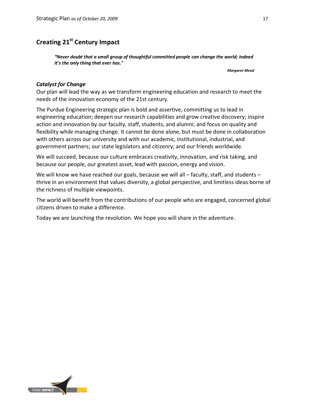# **Creating 21st Century Impact**

*"Never doubt that a small group of thoughtful committed people can change the world; indeed it's the only thing that ever has."* 

*Margaret Mead*

## *Catalyst for Change*

Our plan will lead the way as we transform engineering education and research to meet the needs of the innovation economy of the 21st century.

The Purdue Engineering strategic plan is bold and assertive, committing us to lead in engineering education; deepen our research capabilities and grow creative discovery; inspire action and innovation by our faculty, staff, students, and alumni; and focus on quality and flexibility while managing change. It cannot be done alone, but must be done in collaboration with others across our university and with our academic, institutional, industrial, and government partners; our state legislators and citizenry; and our friends worldwide.

We will succeed, because our culture embraces creativity, innovation, and risk taking, and because our people, our greatest asset, lead with passion, energy and vision.

We will know we have reached our goals, because we will all – faculty, staff, and students – thrive in an environment that values diversity, a global perspective, and limitless ideas borne of the richness of multiple viewpoints.

The world will benefit from the contributions of our people who are engaged, concerned global citizens driven to make a difference.

Today we are launching the revolution. We hope you will share in the adventure.

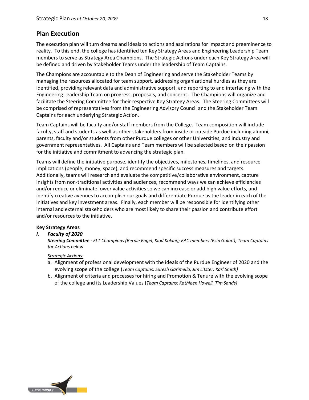# **Plan Execution**

The execution plan will turn dreams and ideals to actions and aspirations for impact and preeminence to reality. To this end, the college has identified ten Key Strategy Areas and Engineering Leadership Team members to serve as Strategy Area Champions. The Strategic Actions under each Key Strategy Area will be defined and driven by Stakeholder Teams under the leadership of Team Captains.

The Champions are accountable to the Dean of Engineering and serve the Stakeholder Teams by managing the resources allocated for team support, addressing organizational hurdles as they are identified, providing relevant data and administrative support, and reporting to and interfacing with the Engineering Leadership Team on progress, proposals, and concerns. The Champions will organize and facilitate the Steering Committee for their respective Key Strategy Areas. The Steering Committees will be comprised of representatives from the Engineering Advisory Council and the Stakeholder Team Captains for each underlying Strategic Action.

Team Captains will be faculty and/or staff members from the College. Team composition will include faculty, staff and students as well as other stakeholders from inside or outside Purdue including alumni, parents, faculty and/or students from other Purdue colleges or other Universities, and industry and government representatives. All Captains and Team members will be selected based on their passion for the initiative and commitment to advancing the strategic plan.

Teams will define the initiative purpose, identify the objectives, milestones, timelines, and resource implications (people, money, space), and recommend specific success measures and targets. Additionally, teams will research and evaluate the competitive/collaborative environment, capture insights from non-traditional activities and audiences, recommend ways we can achieve efficiencies and/or reduce or eliminate lower value activities so we can increase or add high value efforts, and identify creative avenues to accomplish our goals and differentiate Purdue as the leader in each of the initiatives and key investment areas. Finally, each member will be responsible for identifying other internal and external stakeholders who are most likely to share their passion and contribute effort and/or resources to the initiative.

#### **Key Strategy Areas**

#### *I. Faculty of 2020*

*Steering Committee - ELT Champions (Bernie Engel, Klod Kokini); EAC members (Esin Gulari); Team Captains for Actions below*

#### *Strategic Actions:*

- a. Alignment of professional development with the ideals of the Purdue Engineer of 2020 and the evolving scope of the college (*Team Captains: Suresh Garimella, Jim Litster, Karl Smith)*
- b. Alignment of criteria and processes for hiring and Promotion & Tenure with the evolving scope of the college and its Leadership Values (*Team Captains: Kathleen Howell, Tim Sands)*

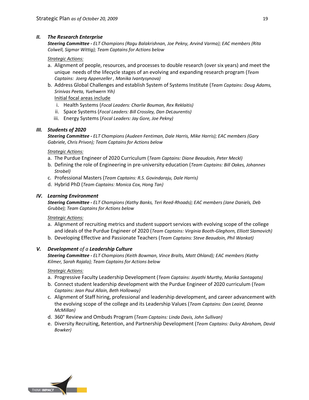#### *II. The Research Enterprise*

*Steering Committee - ELT Champions (Ragu Balakrishnan, Joe Pekny, Arvind Varma); EAC members (Rita Colwell, Sigmar Wittig); Team Captains for Actions below*

#### *Strategic Actions:*

- a. Alignment of people, resources, and processes to double research (over six years) and meet the unique needs of the lifecycle stages of an evolving and expanding research program (*Team Captains: Joerg Appenzeller , Monika Ivantysynova)*
- b. Address Global Challenges and establish System of Systems Institute (*Team Captains: Doug Adams, Srinivas Peeta, Yuehwern Yih)*

#### Initial focal areas include

- i. Health Systems (*Focal Leaders: Charlie Bouman, Rex Reklaitis)*
- ii. Space Systems (*Focal Leaders: Bill Crossley, Dan DeLaurentis)*
- iii. Energy Systems (*Focal Leaders: Jay Gore, Joe Pekny)*

#### *III. Students of 2020*

*Steering Committee - ELT Champions (Audeen Fentiman, Dale Harris, Mike Harris); EAC members (Gary Gabriele, Chris Privon); Team Captains for Actions below*

#### *Strategic Actions:*

- a. The Purdue Engineer of 2020 Curriculum (*Team Captains: Diane Beaudoin, Peter Meckl)*
- b. Defining the role of Engineering in pre-university education (*Team Captains: Bill Oakes, Johannes Strobel)*
- c. Professional Masters (*Team Captains: R.S. Govindaraju, Dale Harris)*
- d. Hybrid PhD (*Team Captains: Monica Cox, Hong Tan)*

#### *IV. Learning Environment*

*Steering Committee - ELT Champions (Kathy Banks, Teri Reed-Rhoads); EAC members (Jane Daniels, Deb Grubbe); Team Captains for Actions below*

#### *Strategic Actions:*

- a. Alignment of recruiting metrics and student support services with evolving scope of the college and ideals of the Purdue Engineer of 2020 (*Team Captains: Virginia Booth-Gleghorn, Elliott Slamovich)*
- b. Developing Effective and Passionate Teachers (*Team Captains: Steve Beaudoin, Phil Wankat)*

#### *V. Development of a Leadership Culture*

*Steering Committee - ELT Champions (Keith Bowman, Vince Bralts, Matt Ohland); EAC members (Kathy Kilmer, Sarah Rajala); Team Captains for Actions below*

#### *Strategic Actions:*

- a. Progressive Faculty Leadership Development (*Team Captains: Jayathi Murthy, Marika Santagata)*
- b. Connect student leadership development with the Purdue Engineer of 2020 curriculum (*Team Captains: Jean Paul Allain, Beth Holloway)*
- c. Alignment of Staff hiring, professional and leadership development, and career advancement with the evolving scope of the college and its Leadership Values (*Team Captains: Dan Leaird, Deanna McMillan)*
- d. 360° Review and Ombuds Program (*Team Captains: Linda Davis, John Sullivan)*
- e. Diversity Recruiting, Retention, and Partnership Development (*Team Captains: Dulcy Abraham, David Bowker)*

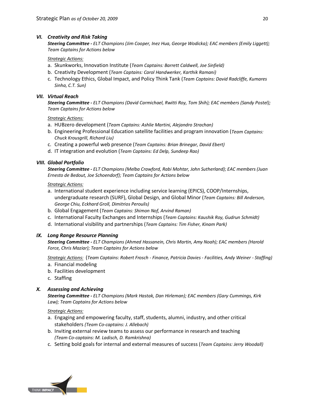#### *VI. Creativity and Risk Taking*

*Steering Committee - ELT Champions (Jim Cooper, Inez Hua, George Wodicka); EAC members (Emily Liggett); Team Captains for Actions below*

#### *Strategic Actions:*

- a. Skunkworks, Innovation Institute (*Team Captains: Barrett Caldwell, Joe Sinfield)*
- b. Creativity Development (*Team Captains: Carol Handwerker, Karthik Ramani)*
- c. Technology Ethics, Global Impact, and Policy Think Tank (*Team Captains: David Radcliffe, Kumares Sinha, C.T. Sun)*

#### *VII. Virtual Reach*

*Steering Committee - ELT Champions (David Carmichael, Rwitti Roy, Tom Shih); EAC members (Sandy Postel); Team Captains for Actions below*

#### *Strategic Actions:*

- a. HUBzero development (*Team Captains: Ashlie Martini, Alejandro Strachan)*
- b. Engineering Professional Education satellite facilities and program innovation (*Team Captains: Chuck Krousgrill, Richard Liu)*
- c. Creating a powerful web presence (*Team Captains: Brian Brinegar, David Ebert)*
- d. IT integration and evolution (*Team Captains: Ed Delp, Sundeep Rao)*

#### *VIII. Global Portfolio*

*Steering Committee - ELT Champions (Melba Crawford, Rabi Mohtar, John Sutherland); EAC members (Juan Ernesto de Bedout, Joe Schoendorf); Team Captains for Actions below*

#### *Strategic Actions:*

- a. International student experience including service learning (EPICS), COOP/Internships, undergraduate research (SURF), Global Design, and Global Minor (*Team Captains: Bill Anderson, George Chiu, Eckhard Groll, Dimitrios Peroulis)*
- b. Global Engagement (*Team Captains: Shimon Nof, Arvind Raman)*
- c. International Faculty Exchanges and Internships (*Team Captains: Kaushik Roy, Gudrun Schmidt)*
- d. International visibility and partnerships (*Team Captains: Tim Fisher, Kinam Park)*

#### *IX. Long Range Resource Planning*

*Steering Committee - ELT Champions (Ahmed Hassanein, Chris Martin, Amy Noah); EAC members (Harold Force, Chris Maziar); Team Captains for Actions below*

*Strategic Actions:* (*Team Captains: Robert Frosch - Finance, Patricia Davies - Facilities, Andy Weiner - Staffing)* a. Financial modeling

- b. Facilities development
- c. Staffing

#### *X. Assessing and Achieving*

*Steering Committee - ELT Champions (Mark Hastak, Dan Hirleman); EAC members (Gary Cummings, Kirk Law); Team Captains for Actions below*

#### *Strategic Actions:*

- a. Engaging and empowering faculty, staff, students, alumni, industry, and other critical stakeholders *(Team Co-captains: J. Allebach)*
- b. Inviting external review teams to assess our performance in research and teaching *(Team Co-captains: M. Ladisch, D. Ramkrishna)*
- c. Setting bold goals for internal and external measures of success (*Team Captains: Jerry Woodall)*

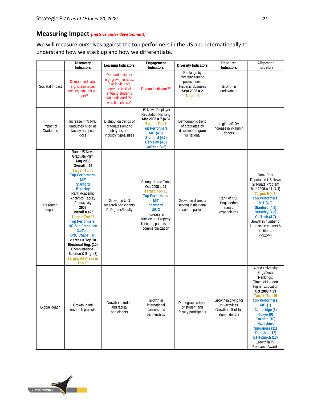# **Measuring Impact** *(metrics under development)*

We will measure ourselves against the top performers in the US and internationally to understand how we stack up and how we differentiate.

|                        | Discovery<br>Indicators                                                                                                                                                                                                                                                                                                                                                                                                                                                                             | Learning Indicators                                                                                                                            | Engagement<br><b>Indicators</b>                                                                                                                                                                                         | <b>Diversity Indicators</b>                                                                                   | Resource<br>Indicators                                                          | Alignment<br>Indicators                                                                                                                                                                                                                                                                                                            |
|------------------------|-----------------------------------------------------------------------------------------------------------------------------------------------------------------------------------------------------------------------------------------------------------------------------------------------------------------------------------------------------------------------------------------------------------------------------------------------------------------------------------------------------|------------------------------------------------------------------------------------------------------------------------------------------------|-------------------------------------------------------------------------------------------------------------------------------------------------------------------------------------------------------------------------|---------------------------------------------------------------------------------------------------------------|---------------------------------------------------------------------------------|------------------------------------------------------------------------------------------------------------------------------------------------------------------------------------------------------------------------------------------------------------------------------------------------------------------------------------|
| Societal Impact        | <b>Demand indicator</b><br>e.g. citations per<br>faculty; citations per<br>paper?                                                                                                                                                                                                                                                                                                                                                                                                                   | Demand indicator<br>e.g. growth in apps,<br>rise in yield %;<br>increase in % of<br>entering students<br>who indicated PU<br>was first choice? | Demand indicator??                                                                                                                                                                                                      | Rankings by<br>diversity serving<br>publications:<br><b>Hispanic Business</b><br>Sept $2008 = 2$<br>Target: 1 | Growth in<br>endowment                                                          |                                                                                                                                                                                                                                                                                                                                    |
| Impact of<br>Graduates | Increase in % PhD<br>graduates hired as<br>faculty and post<br>docs                                                                                                                                                                                                                                                                                                                                                                                                                                 | Distribution trends of<br>graduates among<br>job types and<br>industry types/sizes                                                             | <b>US News Employer</b><br><b>Reputation Ranking</b><br>Mar 2008 = $7(4.3)$<br>Target: Top 1<br><b>Top Performers:</b><br><b>MIT</b> (4.8)<br>Stanford (4.7)<br>Berkeley (4.6)<br>CalTech (4.6)                         | Demographic trend<br>of graduates by<br>discipline/program<br>vs national                                     | $#$ qifts >\$10M<br>Increase in % alumni<br>donors                              |                                                                                                                                                                                                                                                                                                                                    |
| Research<br>Impact     | Rank US News<br>Graduate Pgm<br>Aug 2008<br>Overall $= 15$<br>Target: Top 5<br><b>Top Performers:</b><br><b>MIT</b><br><b>Stanford</b><br><b>Berkeley</b><br>Rank Academic<br>Analytics Faculty<br>Productivity<br>2007<br>Overall $=$ <25<br>Target: Top 15<br><b>Top Performers:</b><br><b>UC San Francisco</b><br>CalTech<br><b>UNC Chapel Hill</b><br>$2 \text{ areas} = \text{Top} 10$<br>Electrical Eng. (10)<br>Computational<br>Science & Eng. (6)<br><b>Target: All Areas in</b><br>Top 10 | Growth in U-G<br>research participants<br>PhD grads/faculty                                                                                    | Shanghai Jiao Tong<br>$Oct 2008 = 17$<br>Target: Top 10<br><b>Top Performers:</b><br><b>MIT</b><br><b>Stanford</b><br><b>UIUC</b><br>Increase in<br>Intellectual Property<br>licenses, patents, or<br>commercialization | Growth in diversity<br>serving institutional<br>research partners                                             | Rank of NSF<br>Engineering<br>research<br>expenditures                          | Rank Peer<br><b>Reputation US News</b><br>Graduate Program<br>Mar $2008 = 11(4.1)$<br>Target: 5 (4.6)<br><b>Top Performers:</b><br>MIT(4.9)<br>Stanford (4.8)<br>Berkeley (4.8)<br>CalTech (4.7)<br>Growth in number of<br>large scale centers &<br>institutes<br>( > \$25M)                                                       |
| Global Reach           | Growth in Intl<br>research projects                                                                                                                                                                                                                                                                                                                                                                                                                                                                 | Growth in student<br>and faculty<br>participants                                                                                               | Growth in<br>international<br>partners and<br>partnerships                                                                                                                                                              | Demographic trend<br>of student and<br>faculty participants                                                   | Growth in giving for<br>Intl activities<br>Growth in % of Intl<br>alumni donors | World University<br>Eng./Tech.<br>Rankings:<br>Times of London<br><b>Higher Education</b><br>$Oct 2008 = 33$<br>Target: Top 15<br><b>Top Performers:</b><br><b>MIT (1)</b><br>Cambridge (5)<br>Tokyo (9)<br>Toronto (10)<br>Nat'l Univ.<br>Singapore (11)<br>Tsinghua (12)<br>ETH Zurich (13)<br>Growth in Intl<br>Research Awards |

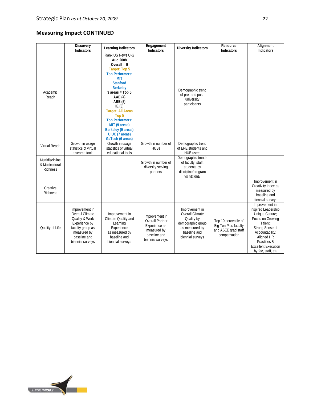# **Measuring Impact CONTINUED**

|                                                | Discovery<br>Indicators                                                                                                                     | Learning Indicators                                                                                                                                                                                                                                                                                                                                             | Engagement<br>Indicators                                                                                     | <b>Diversity Indicators</b>                                                                                                       | Resource<br>Indicators                                                              | Alignment<br>Indicators                                                                                                                                                                                          |
|------------------------------------------------|---------------------------------------------------------------------------------------------------------------------------------------------|-----------------------------------------------------------------------------------------------------------------------------------------------------------------------------------------------------------------------------------------------------------------------------------------------------------------------------------------------------------------|--------------------------------------------------------------------------------------------------------------|-----------------------------------------------------------------------------------------------------------------------------------|-------------------------------------------------------------------------------------|------------------------------------------------------------------------------------------------------------------------------------------------------------------------------------------------------------------|
| Academic<br>Reach                              |                                                                                                                                             | Rank US News U-G<br>Aug 2008<br>Overall = $9$<br>Target: Top 5<br><b>Top Performers:</b><br><b>MIT</b><br><b>Stanford</b><br><b>Berkeley</b><br>$3 \text{ areas} = \text{Top } 5$<br>AAE (4)<br>ABE (5)<br>IE $(3)$<br><b>Target: All Areas</b><br>Top 5<br><b>Top Performers:</b><br>MIT (9 areas)<br>Berkeley (9 areas)<br>UIUC (7 areas)<br>GaTech (6 areas) |                                                                                                              | Demographic trend<br>of pre- and post-<br>university<br>participants                                                              |                                                                                     |                                                                                                                                                                                                                  |
| Virtual Reach                                  | Growth in usage<br>statistics of virtual<br>research tools                                                                                  | Growth in usage<br>statistics of virtual<br>educational tools                                                                                                                                                                                                                                                                                                   | Growth in number of<br><b>HUBs</b>                                                                           | Demographic trend<br>of EPE students and<br>HUB users                                                                             |                                                                                     |                                                                                                                                                                                                                  |
| Multidiscipline<br>& Multicultural<br>Richness |                                                                                                                                             |                                                                                                                                                                                                                                                                                                                                                                 | Growth in number of<br>diversity serving<br>partners                                                         | Demographic trends<br>of faculty, staff,<br>students by<br>discipline/program<br>vs national                                      |                                                                                     |                                                                                                                                                                                                                  |
| Creative<br><b>Richness</b>                    |                                                                                                                                             |                                                                                                                                                                                                                                                                                                                                                                 |                                                                                                              |                                                                                                                                   |                                                                                     | Improvement in<br>Creativity Index as<br>measured by<br>baseline and<br>biennial surveys                                                                                                                         |
| Quality of Life                                | Improvement in<br>Overall Climate<br>Quality & Work<br>Experience by<br>faculty group as<br>measured by<br>baseline and<br>biennial surveys | Improvement in<br>Climate Quality and<br>Learning<br>Experience<br>as measured by<br>baseline and<br>biennial surveys                                                                                                                                                                                                                                           | Improvement in<br><b>Overall Partner</b><br>Experience as<br>measured by<br>baseline and<br>biennial surveys | Improvement in<br><b>Overall Climate</b><br>Quality by<br>demographic group<br>as measured by<br>baseline and<br>biennial surveys | Top 10 percentile of<br>Big Ten Plus faculty<br>and ASEE grad staff<br>compensation | Improvement in:<br>Inspired Leadership;<br>Unique Culture;<br>Focus on Growing<br>Talent:<br>Strong Sense of<br>Accountability;<br>Aligned HR<br>Practices &<br><b>Excellent Execution</b><br>by fac, staff, stu |

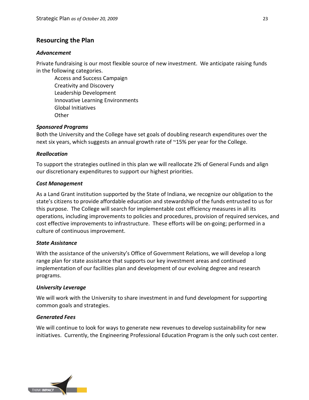# **Resourcing the Plan**

#### *Advancement*

Private fundraising is our most flexible source of new investment. We anticipate raising funds in the following categories.

Access and Success Campaign Creativity and Discovery Leadership Development Innovative Learning Environments Global Initiatives **Other** 

## *Sponsored Programs*

Both the University and the College have set goals of doubling research expenditures over the next six years, which suggests an annual growth rate of ~15% per year for the College.

#### *Reallocation*

To support the strategies outlined in this plan we will reallocate 2% of General Funds and align our discretionary expenditures to support our highest priorities.

#### *Cost Management*

As a Land Grant institution supported by the State of Indiana, we recognize our obligation to the state's citizens to provide affordable education and stewardship of the funds entrusted to us for this purpose. The College will search for implementable cost efficiency measures in all its operations, including improvements to policies and procedures, provision of required services, and cost effective improvements to infrastructure. These efforts will be on-going; performed in a culture of continuous improvement.

#### *State Assistance*

With the assistance of the university's Office of Government Relations, we will develop a long range plan for state assistance that supports our key investment areas and continued implementation of our facilities plan and development of our evolving degree and research programs.

#### *University Leverage*

We will work with the University to share investment in and fund development for supporting common goals and strategies.

#### *Generated Fees*

We will continue to look for ways to generate new revenues to develop sustainability for new initiatives. Currently, the Engineering Professional Education Program is the only such cost center.

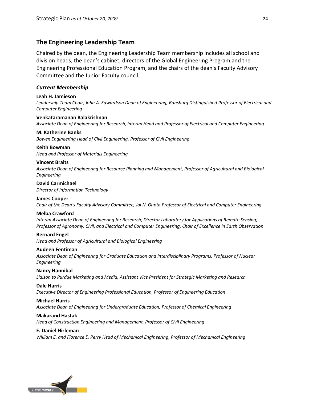# **The Engineering Leadership Team**

Chaired by the dean, the Engineering Leadership Team membership includes all school and division heads, the dean's cabinet, directors of the Global Engineering Program and the Engineering Professional Education Program, and the chairs of the dean's Faculty Advisory Committee and the Junior Faculty council.

#### *Current Membership*

#### **Leah H. Jamieson**

*Leadership Team Chair, John A. Edwardson Dean of Engineering, Ransburg Distinguished Professor of Electrical and Computer Engineering*

#### **Venkataramanan Balakrishnan**

*Associate Dean of Engineering for Research, Interim Head and Professor of Electrical and Computer Engineering*

#### **M. Katherine Banks**

*Bowen Engineering Head of Civil Engineering, Professor of Civil Engineering*

# **Keith Bowman**

*Head and Professor of Materials Engineering*

#### **Vincent Bralts**

*Associate Dean of Engineering for Resource Planning and Management, Professor of Agricultural and Biological Engineering*

# **David Carmichael**

*Director of Information Technology*

# **James Cooper**

*Chair of the Dean's Faculty Advisory Committee, Jai N. Gupta Professor of Electrical and Computer Engineering*

#### **Melba Crawford**

*Interim Associate Dean of Engineering for Research; Director Laboratory for Applications of Remote Sensing; Professor of Agronomy, Civil, and Electrical and Computer Engineering, Chair of Excellence in Earth Observation*

#### **Bernard Engel**

*Head and Professor of Agricultural and Biological Engineering*

#### **Audeen Fentiman**

*Associate Dean of Engineering for Graduate Education and Interdisciplinary Programs, Professor of Nuclear Engineering*

#### **Nancy Hannibal**

*Liaison to Purdue Marketing and Media, Assistant Vice President for Strategic Marketing and Research*

#### **Dale Harris**

*Executive Director of Engineering Professional Education, Professor of Engineering Education*

#### **Michael Harris**

*Associate Dean of Engineering for Undergraduate Education, Professor of Chemical Engineering*

#### **Makarand Hastak**

*Head of Construction Engineering and Management, Professor of Civil Engineering*

#### **E. Daniel Hirleman**

*William E. and Florence E. Perry Head of Mechanical Engineering, Professor of Mechanical Engineering*

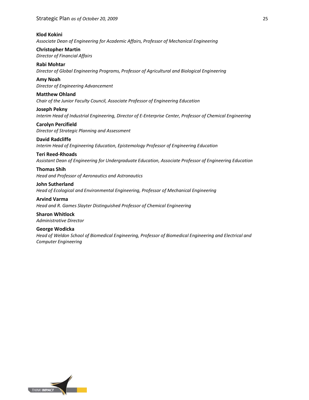#### **Klod Kokini**

*Associate Dean of Engineering for Academic Affairs, Professor of Mechanical Engineering*

**Christopher Martin** *Director of Financial Affairs*

**Rabi Mohtar** *Director of Global Engineering Programs, Professor of Agricultural and Biological Engineering*

**Amy Noah** *Director of Engineering Advancement*

**Matthew Ohland** *Chair of the Junior Faculty Council, Associate Professor of Engineering Education*

**Joseph Pekny**

*Interim Head of Industrial Engineering, Director of E-Enterprise Center, Professor of Chemical Engineering* **Carolyn Percifield**

*Director of Strategic Planning and Assessment*

#### **David Radcliffe**

*Interim Head of Engineering Education, Epistemology Professor of Engineering Education*

#### **Teri Reed-Rhoads**

*Assistant Dean of Engineering for Undergraduate Education, Associate Professor of Engineering Education*

## **Thomas Shih**

*Head and Professor of Aeronautics and Astronautics*

#### **John Sutherland**

*Head of Ecological and Environmental Engineering, Professor of Mechanical Engineering*

**Arvind Varma** *Head and R. Games Slayter Distinguished Professor of Chemical Engineering*

**Sharon Whitlock** *Administrative Director*

#### **George Wodicka**

*Head of Weldon School of Biomedical Engineering, Professor of Biomedical Engineering and Electrical and Computer Engineering*

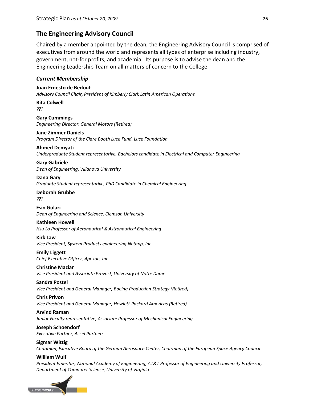# **The Engineering Advisory Council**

Chaired by a member appointed by the dean, the Engineering Advisory Council is comprised of executives from around the world and represents all types of enterprise including industry, government, not-for profits, and academia. Its purpose is to advise the dean and the Engineering Leadership Team on all matters of concern to the College.

#### *Current Membership*

**Juan Ernesto de Bedout** *Advisory Council Chair, President of Kimberly Clark Latin American Operations*

**Rita Colwell** *???*

**Gary Cummings** *Engineering Director, General Motors (Retired)*

#### **Jane Zimmer Daniels**

*Program Director of the Clare Booth Luce Fund, Luce Foundation*

**Ahmed Demyati** *Undergraduate Student representative, Bachelors candidate in Electrical and Computer Engineering*

**Gary Gabriele** *Dean of Engineering, Villanova University*

**Dana Gary** *Graduate Student representative, PhD Candidate in Chemical Engineering*

**Deborah Grubbe** *???*

**Esin Gulari** *Dean of Engineering and Science, Clemson University*

#### **Kathleen Howell**

*Hsu Lo Professor of Aeronautical & Astronautical Engineering*

#### **Kirk Law**

*Vice President, System Products engineering Netapp, Inc.*

**Emily Liggett** *Chief Executive Officer, Apexon, Inc.*

#### **Christine Maziar**

*Vice President and Associate Provost, University of Notre Dame*

#### **Sandra Postel**

*Vice President and General Manager, Boeing Production Strategy (Retired)*

**Chris Privon** *Vice President and General Manager, Hewlett-Packard Americas (Retired)*

**Arvind Raman** *Junior Faculty representative, Associate Professor of Mechanical Engineering*

#### **Joseph Schoendorf** *Executive Partner, Accel Partners*

**Sigmar Wittig**

*Chariman, Executive Board of the German Aerospace Center, Chairman of the European Space Agency Council*

#### **William Wulf**

*President Emeritus, National Academy of Engineering, AT&T Professor of Engineering and University Professor, Department of Computer Science, University of Virginia*